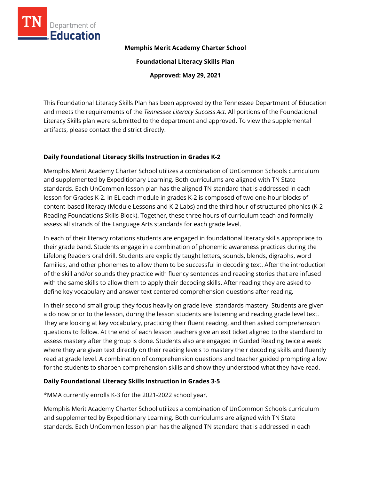

### **Memphis Merit Academy Charter School**

**Foundational Literacy Skills Plan**

**Approved: May 29, 2021**

This Foundational Literacy Skills Plan has been approved by the Tennessee Department of Education and meets the requirements of the *Tennessee Literacy Success Act.* All portions of the Foundational Literacy Skills plan were submitted to the department and approved. To view the supplemental artifacts, please contact the district directly.

## **Daily Foundational Literacy Skills Instruction in Grades K-2**

Memphis Merit Academy Charter School utilizes a combination of UnCommon Schools curriculum and supplemented by Expeditionary Learning. Both curriculums are aligned with TN State standards. Each UnCommon lesson plan has the aligned TN standard that is addressed in each lesson for Grades K-2. In EL each module in grades K-2 is composed of two one-hour blocks of content-based literacy (Module Lessons and K-2 Labs) and the third hour of structured phonics (K-2 Reading Foundations Skills Block). Together, these three hours of curriculum teach and formally assess all strands of the Language Arts standards for each grade level.

In each of their literacy rotations students are engaged in foundational literacy skills appropriate to their grade band. Students engage in a combination of phonemic awareness practices during the Lifelong Readers oral drill. Students are explicitly taught letters, sounds, blends, digraphs, word families, and other phonemes to allow them to be successful in decoding text. After the introduction of the skill and/or sounds they practice with fluency sentences and reading stories that are infused with the same skills to allow them to apply their decoding skills. After reading they are asked to define key vocabulary and answer text centered comprehension questions after reading.

In their second small group they focus heavily on grade level standards mastery. Students are given a do now prior to the lesson, during the lesson students are listening and reading grade level text. They are looking at key vocabulary, practicing their fluent reading, and then asked comprehension questions to follow. At the end of each lesson teachers give an exit ticket aligned to the standard to assess mastery after the group is done. Students also are engaged in Guided Reading twice a week where they are given text directly on their reading levels to mastery their decoding skills and fluently read at grade level. A combination of comprehension questions and teacher guided prompting allow for the students to sharpen comprehension skills and show they understood what they have read.

## **Daily Foundational Literacy Skills Instruction in Grades 3-5**

\*MMA currently enrolls K-3 for the 2021-2022 school year.

Memphis Merit Academy Charter School utilizes a combination of UnCommon Schools curriculum and supplemented by Expeditionary Learning. Both curriculums are aligned with TN State standards. Each UnCommon lesson plan has the aligned TN standard that is addressed in each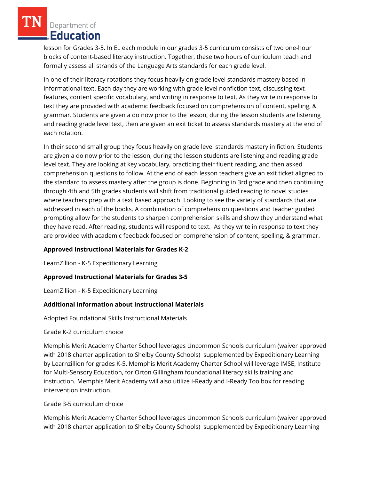lesson for Grades 3-5. In EL each module in our grades 3-5 curriculum consists of two one-hour blocks of content-based literacy instruction. Together, these two hours of curriculum teach and formally assess all strands of the Language Arts standards for each grade level.

In one of their literacy rotations they focus heavily on grade level standards mastery based in informational text. Each day they are working with grade level nonfiction text, discussing text features, content specific vocabulary, and writing in response to text. As they write in response to text they are provided with academic feedback focused on comprehension of content, spelling, & grammar. Students are given a do now prior to the lesson, during the lesson students are listening and reading grade level text, then are given an exit ticket to assess standards mastery at the end of each rotation.

In their second small group they focus heavily on grade level standards mastery in fiction. Students are given a do now prior to the lesson, during the lesson students are listening and reading grade level text. They are looking at key vocabulary, practicing their fluent reading, and then asked comprehension questions to follow. At the end of each lesson teachers give an exit ticket aligned to the standard to assess mastery after the group is done. Beginning in 3rd grade and then continuing through 4th and 5th grades students will shift from traditional guided reading to novel studies where teachers prep with a text based approach. Looking to see the variety of standards that are addressed in each of the books. A combination of comprehension questions and teacher guided prompting allow for the students to sharpen comprehension skills and show they understand what they have read. After reading, students will respond to text. As they write in response to text they are provided with academic feedback focused on comprehension of content, spelling, & grammar.

## **Approved Instructional Materials for Grades K-2**

LearnZillion - K-5 Expeditionary Learning

# **Approved Instructional Materials for Grades 3-5**

LearnZillion - K-5 Expeditionary Learning

## **Additional Information about Instructional Materials**

Adopted Foundational Skills Instructional Materials

Grade K-2 curriculum choice

Memphis Merit Academy Charter School leverages Uncommon Schools curriculum (waiver approved with 2018 charter application to Shelby County Schools) supplemented by Expeditionary Learning by Learnzillion for grades K-5. Memphis Merit Academy Charter School will leverage IMSE, Institute for Multi-Sensory Education, for Orton Gillingham foundational literacy skills training and instruction. Memphis Merit Academy will also utilize I-Ready and I-Ready Toolbox for reading intervention instruction.

## Grade 3-5 curriculum choice

Memphis Merit Academy Charter School leverages Uncommon Schools curriculum (waiver approved with 2018 charter application to Shelby County Schools) supplemented by Expeditionary Learning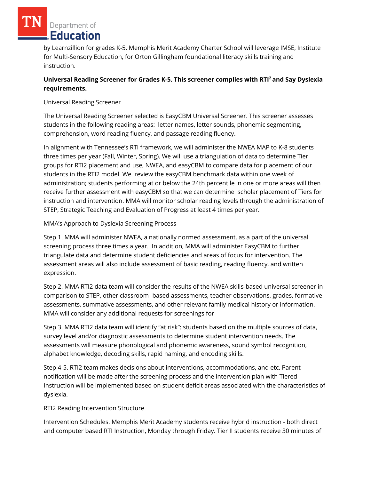by Learnzillion for grades K-5. Memphis Merit Academy Charter School will leverage IMSE, Institute for Multi-Sensory Education, for Orton Gillingham foundational literacy skills training and instruction.

# **Universal Reading Screener for Grades K-5. This screener complies with RTI<sup>2</sup>and Say Dyslexia requirements.**

Universal Reading Screener

The Universal Reading Screener selected is EasyCBM Universal Screener. This screener assesses students in the following reading areas: letter names, letter sounds, phonemic segmenting, comprehension, word reading fluency, and passage reading fluency.

In alignment with Tennessee's RTI framework, we will administer the NWEA MAP to K-8 students three times per year (Fall, Winter, Spring). We will use a triangulation of data to determine Tier groups for RTI2 placement and use, NWEA, and easyCBM to compare data for placement of our students in the RTI2 model. We review the easyCBM benchmark data within one week of administration; students performing at or below the 24th percentile in one or more areas will then receive further assessment with easyCBM so that we can determine scholar placement of Tiers for instruction and intervention. MMA will monitor scholar reading levels through the administration of STEP, Strategic Teaching and Evaluation of Progress at least 4 times per year.

## MMA's Approach to Dyslexia Screening Process

Step 1. MMA will administer NWEA, a nationally normed assessment, as a part of the universal screening process three times a year. In addition, MMA will administer EasyCBM to further triangulate data and determine student deficiencies and areas of focus for intervention. The assessment areas will also include assessment of basic reading, reading fluency, and written expression.

Step 2. MMA RTI2 data team will consider the results of the NWEA skills-based universal screener in comparison to STEP, other classroom- based assessments, teacher observations, grades, formative assessments, summative assessments, and other relevant family medical history or information. MMA will consider any additional requests for screenings for

Step 3. MMA RTI2 data team will identify "at risk": students based on the multiple sources of data, survey level and/or diagnostic assessments to determine student intervention needs. The assessments will measure phonological and phonemic awareness, sound symbol recognition, alphabet knowledge, decoding skills, rapid naming, and encoding skills.

Step 4-5. RTI2 team makes decisions about interventions, accommodations, and etc. Parent notification will be made after the screening process and the intervention plan with Tiered Instruction will be implemented based on student deficit areas associated with the characteristics of dyslexia.

# RTI2 Reading Intervention Structure

Intervention Schedules. Memphis Merit Academy students receive hybrid instruction - both direct and computer based RTI Instruction, Monday through Friday. Tier II students receive 30 minutes of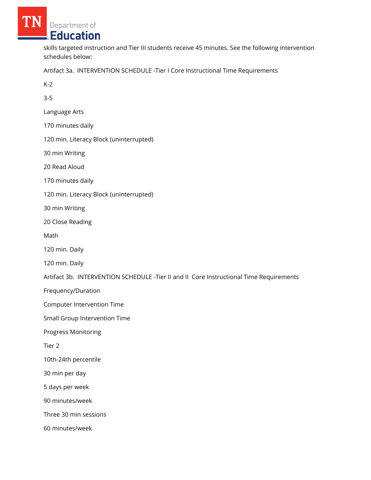skills targeted instruction and Tier III students receive 45 minutes. See the following intervention schedules below:

Artifact 3a. INTERVENTION SCHEDULE -Tier I Core Instructional Time Requirements

K-2

3-5

Language Arts

170 minutes daily

120 min. Literacy Block (uninterrupted)

30 min Writing

20 Read Aloud

170 minutes daily

120 min. Literacy Block (uninterrupted)

30 min Writing

20 Close Reading

Math

120 min. Daily

120 min. Daily

Artifact 3b. INTERVENTION SCHEDULE -Tier II and II Core Instructional Time Requirements

Frequency/Duration

Computer Intervention Time

Small Group Intervention Time

Progress Monitoring

Tier 2

10th-24th percentile

30 min per day

5 days per week

90 minutes/week

Three 30 min sessions

60 minutes/week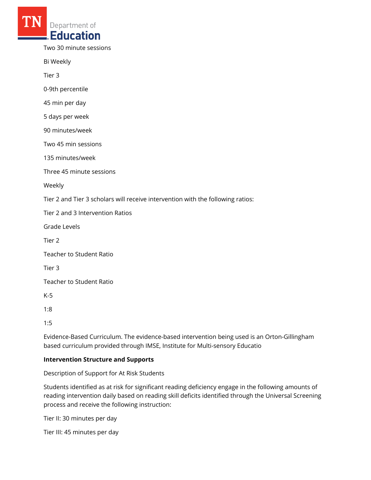Two 30 minute sessions

Bi Weekly

Tier 3

0-9th percentile

45 min per day

5 days per week

90 minutes/week

Two 45 min sessions

135 minutes/week

Three 45 minute sessions

Weekly

Tier 2 and Tier 3 scholars will receive intervention with the following ratios:

Tier 2 and 3 Intervention Ratios

Grade Levels

Tier 2

Teacher to Student Ratio

Tier 3

Teacher to Student Ratio

K-5

1:8

1:5

Evidence-Based Curriculum. The evidence-based intervention being used is an Orton-Gillingham based curriculum provided through IMSE, Institute for Multi-sensory Educatio

#### **Intervention Structure and Supports**

Description of Support for At Risk Students

Students identified as at risk for significant reading deficiency engage in the following amounts of reading intervention daily based on reading skill deficits identified through the Universal Screening process and receive the following instruction:

Tier II: 30 minutes per day

Tier III: 45 minutes per day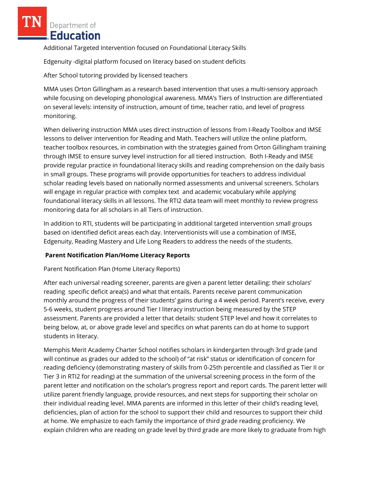Additional Targeted Intervention focused on Foundational Literacy Skills

Edgenuity -digital platform focused on literacy based on student deficits

After School tutoring provided by licensed teachers

MMA uses Orton Gillingham as a research based intervention that uses a multi-sensory approach while focusing on developing phonological awareness. MMA's Tiers of Instruction are differentiated on several levels: intensity of instruction, amount of time, teacher ratio, and level of progress monitoring.

When delivering instruction MMA uses direct instruction of lessons from I-Ready Toolbox and IMSE lessons to deliver intervention for Reading and Math. Teachers will utilize the online platform, teacher toolbox resources, in combination with the strategies gained from Orton Gillingham training through IMSE to ensure survey level instruction for all tiered instruction. Both I-Ready and IMSE provide regular practice in foundational literacy skills and reading comprehension on the daily basis in small groups. These programs will provide opportunities for teachers to address individual scholar reading levels based on nationally normed assessments and universal screeners. Scholars will engage in regular practice with complex text and academic vocabulary while applying foundational literacy skills in all lessons. The RTI2 data team will meet monthly to review progress monitoring data for all scholars in all Tiers of instruction.

In addition to RTI, students will be participating in additional targeted intervention small groups based on identified deficit areas each day. Interventionists will use a combination of IMSE, Edgenuity, Reading Mastery and Life Long Readers to address the needs of the students.

# **Parent Notification Plan/Home Literacy Reports**

Parent Notification Plan (Home Literacy Reports)

After each universal reading screener, parents are given a parent letter detailing: their scholars' reading specific deficit area(s) and what that entails. Parents receive parent communication monthly around the progress of their students' gains during a 4 week period. Parent's receive, every 5-6 weeks, student progress around Tier I literacy instruction being measured by the STEP assessment. Parents are provided a letter that details: student STEP level and how it correlates to being below, at, or above grade level and specifics on what parents can do at home to support students in literacy.

Memphis Merit Academy Charter School notifies scholars in kindergarten through 3rd grade (and will continue as grades our added to the school) of "at risk" status or identification of concern for reading deficiency (demonstrating mastery of skills from 0-25th percentile and classified as Tier II or Tier 3 in RTI2 for reading) at the summation of the universal screening process in the form of the parent letter and notification on the scholar's progress report and report cards. The parent letter will utilize parent friendly language, provide resources, and next steps for supporting their scholar on their individual reading level. MMA parents are informed in this letter of their child's reading level, deficiencies, plan of action for the school to support their child and resources to support their child at home. We emphasize to each family the importance of third grade reading proficiency. We explain children who are reading on grade level by third grade are more likely to graduate from high